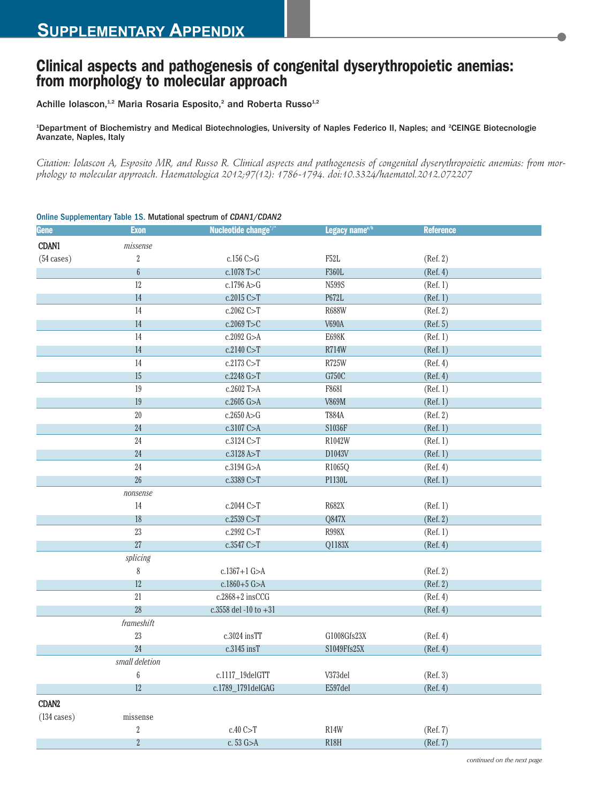## **Clinical aspects and pathogenesis of congenital dyserythropoietic anemias: from morphology to molecular approach**

Achille Iolascon,<sup>1,2</sup> Maria Rosaria Esposito,<sup>2</sup> and Roberta Russo<sup>1,2</sup>

<sup>1</sup>Department of Biochemistry and Medical Biotechnologies, University of Naples Federico II, Naples; and <sup>2</sup>CEINGE Biotecnologie Avanzate, Naples, Italy

Citation: Iolascon A, Esposito MR, and Russo R. Clinical aspects and pathogenesis of congenital dyserythropoietic anemias: from mor*phology to molecular approach. Haematologica 2012;97(12): 1786-1794. doi:10.3324/haematol.2012.072207*

| Gene              | <b>Exon</b>      | Nucleotide change <sup>®/*</sup> | Legacy name <sup>a/b</sup> | <b>Reference</b> |
|-------------------|------------------|----------------------------------|----------------------------|------------------|
| CDAN1             | missense         |                                  |                            |                  |
| (54 cases)        | $\,2$            | $c.156$ C $>\,$ G                | ${\rm F52L}$               | (Ref. 2)         |
|                   | $\boldsymbol{6}$ | c.1078 T>C                       | F360L                      | (Ref. 4)         |
|                   | 12               | c.1796 A>G                       | N599S                      | (Ref. 1)         |
|                   | 14               | c.2015 C>T                       | P672L                      | (Ref. 1)         |
|                   | 14               | $c.2062$ C $>$ T                 | <b>R688W</b>               | (Ref. 2)         |
|                   | 14               | c.2069 T>C                       | V690A                      | (Ref. 5)         |
|                   | 14               | c.2092 G>A                       | E698K                      | (Ref. 1)         |
|                   | 14               | c.2140 C>T                       | <b>R714W</b>               | (Ref. 1)         |
|                   | 14               | c.2173 C>T                       | R725W                      | (Ref. 4)         |
|                   | 15               | c.2248 G>T                       | G750C                      | (Ref. 4)         |
|                   | 19               | c.2602 T>A                       | F868I                      | (Ref. 1)         |
|                   | 19               | $c.2605$ G $>A$                  | <b>V869M</b>               | (Ref. 1)         |
|                   | $20\,$           | c.2650 A > G                     | T884A                      | (Ref. 2)         |
|                   | 24               | c.3107 C>A                       | S1036F                     | (Ref. 1)         |
|                   | 24               | c.3124 C>T                       | R1042W                     | (Ref. 1)         |
|                   | 24               | c.3128 A>T                       | D1043V                     | (Ref. 1)         |
|                   | 24               | c.3194 G>A                       | R1065Q                     | (Ref. 4)         |
|                   | $26\,$           | c.3389 C>T                       | P1130L                     | (Ref. 1)         |
|                   | nonsense         |                                  |                            |                  |
|                   | 14               | c.2044 C>T                       | R682X                      | (Ref. 1)         |
|                   | 18               | c.2539 C > T                     | Q847X                      | (Ref. 2)         |
|                   | $23\,$           | c.2992 C>T                       | R998X                      | (Ref. 1)         |
|                   | $27\,$           | c.3547 C>T                       | Q1183X                     | (Ref. 4)         |
|                   | splicing         |                                  |                            |                  |
|                   | $\,$ $\,$        | $c.1367 + 1$ G $>A$              |                            | (Ref. 2)         |
|                   | 12               | $c.1860 + 5$ G>A                 |                            | (Ref. 2)         |
|                   | $21\,$           | $c.2868+2$ insCCG                |                            | (Ref. 4)         |
|                   | $28\,$           | c.3558 del -10 to $+31$          |                            | (Ref. 4)         |
|                   | frames hit       |                                  |                            |                  |
|                   | $23\,$           | c.3024 insTT                     | G1008Gfs23X                | (Ref. 4)         |
|                   | 24               | c.3145 insT                      | S1049Ffs25X                | (Ref. 4)         |
|                   | small deletion   |                                  |                            |                  |
|                   | $\boldsymbol{6}$ | c.1117_19delGTT                  | V373del                    | (Ref. 3)         |
|                   | 12               | c.1789_1791delGAG                | E597del                    | (Ref. 4)         |
| CDAN <sub>2</sub> |                  |                                  |                            |                  |
| (134 cases)       | missense         |                                  |                            |                  |
|                   | $\sqrt{2}$       | c.40C>T                          | R14W                       | (Ref. 7)         |
|                   | $\overline{2}$   | c. 53 G>A                        | <b>R18H</b>                | (Ref. 7)         |

## Online Supplementary Table 1S. Mutational spectrum of *CDAN1/CDAN2*

*continued on the next page*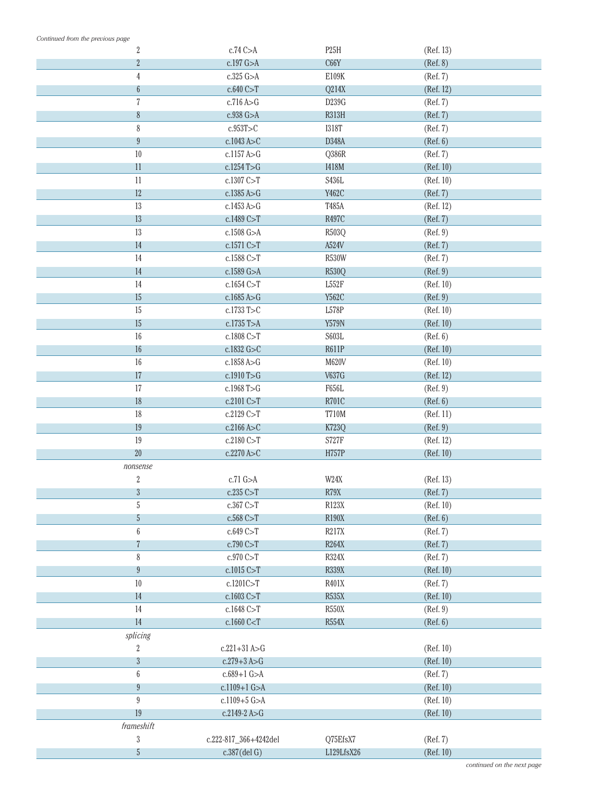| Continued from the previous page |                                                                |                   |           |
|----------------------------------|----------------------------------------------------------------|-------------------|-----------|
| $\overline{2}$                   | $c.74$ C $>A$                                                  | P <sub>25</sub> H | (Ref. 13) |
| $\overline{2}$                   | c.197 G>A                                                      | C66Y              | (Ref. 8)  |
| $\sqrt{4}$                       | $c.325$ G $>A$                                                 | E109K             | (Ref. 7)  |
| $6\,$                            | $c.640$ C $\gt$ T                                              | Q214X             | (Ref. 12) |
| $\sqrt{7}$                       | c.716A > G                                                     | D239G             | (Ref. 7)  |
| $\,8$                            | c.938 G>A                                                      | <b>R313H</b>      | (Ref. 7)  |
| $\,8$                            | c.953T>C                                                       | <b>I318T</b>      | (Ref. 7)  |
| $\boldsymbol{9}$                 | $c.1043$ A $>C$                                                | D348A             | (Ref. 6)  |
| 10                               | c.1157 A>G                                                     | Q386R             | (Ref. 7)  |
| 11                               | $c.1254$ T $>G$                                                | <b>I418M</b>      | (Ref. 10) |
| 11                               | c.1307 C>T                                                     | S436L             | (Ref. 10) |
| 12                               | c.1385 A > G                                                   | Y462C             | (Ref. 7)  |
| 13                               | c.1453 A>G                                                     | T485A             | (Ref. 12) |
| 13                               | c.1489C > T                                                    | <b>R497C</b>      | (Ref. 7)  |
| 13                               | c.1508 G>A                                                     | R503Q             | (Ref. 9)  |
| 14                               | c.1571C > T                                                    | A524V             | (Ref. 7)  |
| 14                               | c.1588C > T                                                    | <b>R530W</b>      | (Ref. 7)  |
| 14                               | $c.1589$ G $>A$                                                | <b>R530Q</b>      | (Ref. 9)  |
| 14                               | c.1654C > T                                                    | L552F             | (Ref. 10) |
| 15                               | c.1685A > G                                                    | Y562C             | (Ref. 9)  |
| 15                               | c.1733 T>C                                                     | L578P             | (Ref. 10) |
| 15                               | c.1735 T>A                                                     | <b>Y579N</b>      | (Ref. 10) |
| $16\,$                           | c.1808 C>T                                                     | S603L             | (Ref. 6)  |
| 16                               | c.1832 G>C                                                     | <b>R611P</b>      | (Ref. 10) |
| 16                               | c.1858 A>G                                                     | M620V             | (Ref. 10) |
| 17                               | c.1910 $T > G$                                                 | <b>V637G</b>      | (Ref. 12) |
| 17                               | c.1968 T>G                                                     | F656L             | (Ref. 9)  |
| 18                               | c.2101C > T                                                    | <b>R701C</b>      | (Ref. 6)  |
| 18                               | c.2129C > T                                                    | <b>T710M</b>      | (Ref. 11) |
| 19                               | c.2166A > C                                                    | <b>K723Q</b>      | (Ref. 9)  |
| 19                               | c.2180 C>T                                                     | <b>S727F</b>      | (Ref. 12) |
| 20                               | c.2270 A > C                                                   | <b>H757P</b>      | (Ref. 10) |
| nonsense                         |                                                                |                   |           |
| $\,2$                            | $c.71$ G $>A$                                                  | W24X              | (Ref. 13) |
| $\boldsymbol{3}$                 | c.235 $C > T$                                                  | R79X              | (Ref. 7)  |
| $\mathbf 5$                      | c.367 C>T                                                      | R123X             | (Ref. 10) |
| 5                                | c.568C>T                                                       | <b>R190X</b>      | (Ref. 6)  |
| $\boldsymbol{6}$                 | c.649C > T                                                     | <b>R217X</b>      | (Ref. 7)  |
| $\overline{7}$                   | c.790 C>T                                                      | <b>R264X</b>      | (Ref. 7)  |
| $\,8\,$                          | c.970 C>T                                                      | R324X             | (Ref. 7)  |
| $9\phantom{.0}$                  | c.1015C > T                                                    | <b>R339X</b>      | (Ref. 10) |
| 10                               | c.1201C>T                                                      | R401X             | (Ref. 7)  |
| 14                               |                                                                | <b>R535X</b>      |           |
|                                  | c.1603C > T                                                    |                   | (Ref. 10) |
| 14                               | c.1648 C>T                                                     | <b>R550X</b>      | (Ref. 9)  |
| $14\,$                           | c.1660 C <t< td=""><td><b>R554X</b></td><td>(Ref. 6)</td></t<> | <b>R554X</b>      | (Ref. 6)  |
| splicing                         |                                                                |                   |           |
| $\overline{2}$                   | $c.221 + 31$ A>G                                               |                   | (Ref. 10) |
| $\sqrt{3}$                       | $c.279 + 3 A > G$                                              |                   | (Ref. 10) |
| $\boldsymbol{6}$                 | $c.689+1$ G $>A$                                               |                   | (Ref. 7)  |
| $\boldsymbol{9}$                 | $c.1109+1$ G $>A$                                              |                   | (Ref. 10) |
| $9\phantom{.0}$                  | $c.1109 + 5$ G $>A$                                            |                   | (Ref. 10) |
| 19                               | c.2149-2 A>G                                                   |                   | (Ref. 10) |
| frameshift                       |                                                                |                   |           |
| $\sqrt{3}$                       | c.222-817_366+4242del                                          | Q75EfsX7          | (Ref. 7)  |
| 5                                | c.387(del G)                                                   | L129LfsX26        | (Ref. 10) |